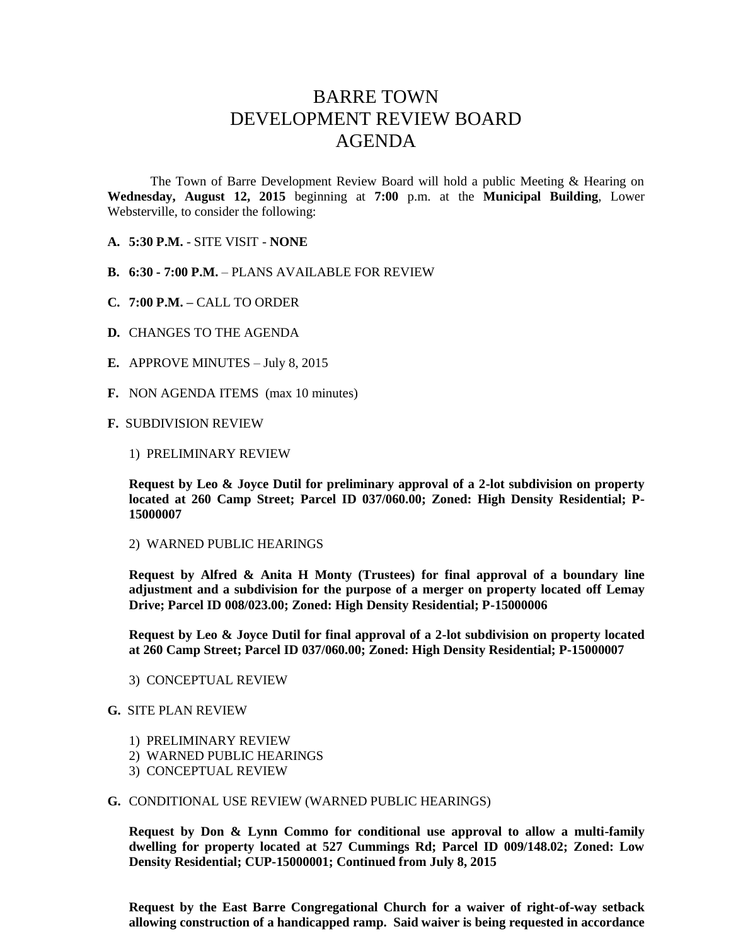## BARRE TOWN DEVELOPMENT REVIEW BOARD AGENDA

The Town of Barre Development Review Board will hold a public Meeting & Hearing on **Wednesday, August 12, 2015** beginning at **7:00** p.m. at the **Municipal Building**, Lower Websterville, to consider the following:

- **A. 5:30 P.M.** SITE VISIT **NONE**
- **B. 6:30 - 7:00 P.M.** PLANS AVAILABLE FOR REVIEW
- **C. 7:00 P.M. –** CALL TO ORDER
- **D.** CHANGES TO THE AGENDA
- **E.** APPROVE MINUTES July 8, 2015
- **F.** NON AGENDA ITEMS (max 10 minutes)
- **F.** SUBDIVISION REVIEW
	- 1) PRELIMINARY REVIEW

**Request by Leo & Joyce Dutil for preliminary approval of a 2-lot subdivision on property located at 260 Camp Street; Parcel ID 037/060.00; Zoned: High Density Residential; P-15000007**

2) WARNED PUBLIC HEARINGS

**Request by Alfred & Anita H Monty (Trustees) for final approval of a boundary line adjustment and a subdivision for the purpose of a merger on property located off Lemay Drive; Parcel ID 008/023.00; Zoned: High Density Residential; P-15000006**

**Request by Leo & Joyce Dutil for final approval of a 2-lot subdivision on property located at 260 Camp Street; Parcel ID 037/060.00; Zoned: High Density Residential; P-15000007**

3) CONCEPTUAL REVIEW

## **G.** SITE PLAN REVIEW

- 1) PRELIMINARY REVIEW
- 2) WARNED PUBLIC HEARINGS
- 3) CONCEPTUAL REVIEW

## **G.** CONDITIONAL USE REVIEW (WARNED PUBLIC HEARINGS)

**Request by Don & Lynn Commo for conditional use approval to allow a multi-family dwelling for property located at 527 Cummings Rd; Parcel ID 009/148.02; Zoned: Low Density Residential; CUP-15000001; Continued from July 8, 2015** 

**Request by the East Barre Congregational Church for a waiver of right-of-way setback allowing construction of a handicapped ramp. Said waiver is being requested in accordance**